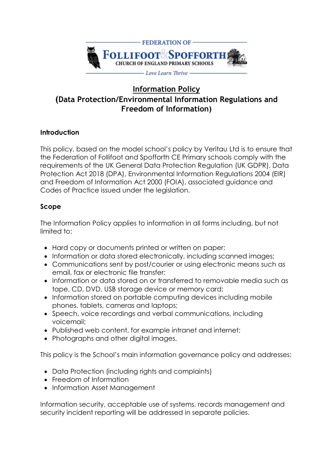

# **Information Policy (Data Protection/Environmental Information Regulations and Freedom of Information)**

# **Introduction**

This policy, based on the model school's policy by Veritau Ltd is to ensure that the Federation of Follifoot and Spofforth CE Primary schools comply with the requirements of the UK General Data Protection Regulation (UK GDPR), Data Protection Act 2018 (DPA), Environmental Information Regulations 2004 (EIR) and Freedom of Information Act 2000 (FOIA), associated guidance and Codes of Practice issued under the legislation.

# **Scope**

The Information Policy applies to information in all forms including, but not limited to:

- Hard copy or documents printed or written on paper;
- Information or data stored electronically, including scanned images;
- Communications sent by post/courier or using electronic means such as email, fax or electronic file transfer;
- Information or data stored on or transferred to removable media such as tape, CD, DVD, USB storage device or memory card;
- Information stored on portable computing devices including mobile phones, tablets, cameras and laptops;
- Speech, voice recordings and verbal communications, including voicemail;
- Published web content, for example intranet and internet;
- Photographs and other digital images.

This policy is the School's main information governance policy and addresses:

- Data Protection (including rights and complaints)
- Freedom of Information
- Information Asset Management

Information security, acceptable use of systems, records management and security incident reporting will be addressed in separate policies.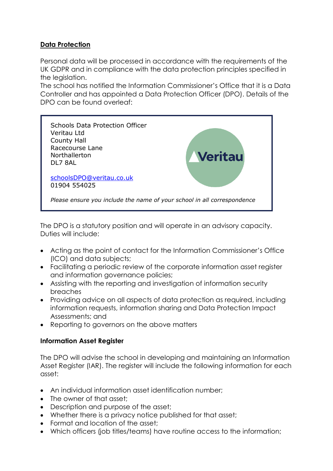## **Data Protection**

Personal data will be processed in accordance with the requirements of the UK GDPR and in compliance with the data protection principles specified in the leaislation.

The school has notified the Information Commissioner's Office that it is a Data Controller and has appointed a Data Protection Officer (DPO). Details of the DPO can be found overleaf:



The DPO is a statutory position and will operate in an advisory capacity. Duties will include:

- Acting as the point of contact for the Information Commissioner's Office (ICO) and data subjects;
- Facilitating a periodic review of the corporate information asset register and information governance policies;
- Assisting with the reporting and investigation of information security breaches
- Providing advice on all aspects of data protection as required, including information requests, information sharing and Data Protection Impact Assessments; and
- Reporting to governors on the above matters

# **Information Asset Register**

The DPO will advise the school in developing and maintaining an Information Asset Register (IAR). The register will include the following information for each asset:

- An individual information asset identification number;
- The owner of that asset:
- Description and purpose of the asset;
- Whether there is a privacy notice published for that asset;
- Format and location of the asset;
- Which officers (job titles/teams) have routine access to the information;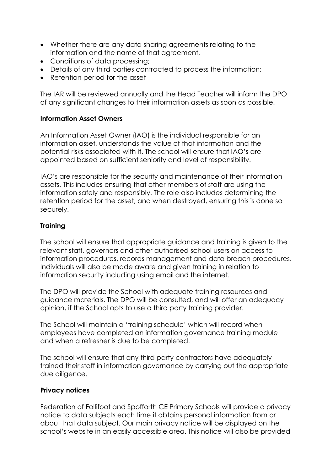- Whether there are any data sharing agreements relating to the information and the name of that agreement,
- Conditions of data processing:
- Details of any third parties contracted to process the information;
- Retention period for the asset

The IAR will be reviewed annually and the Head Teacher will inform the DPO of any significant changes to their information assets as soon as possible.

## **Information Asset Owners**

An Information Asset Owner (IAO) is the individual responsible for an information asset, understands the value of that information and the potential risks associated with it. The school will ensure that IAO's are appointed based on sufficient seniority and level of responsibility.

IAO's are responsible for the security and maintenance of their information assets. This includes ensuring that other members of staff are using the information safely and responsibly. The role also includes determining the retention period for the asset, and when destroyed, ensuring this is done so securely.

## **Training**

The school will ensure that appropriate guidance and training is given to the relevant staff, governors and other authorised school users on access to information procedures, records management and data breach procedures. Individuals will also be made aware and given training in relation to information security including using email and the internet.

The DPO will provide the School with adequate training resources and guidance materials. The DPO will be consulted, and will offer an adequacy opinion, if the School opts to use a third party training provider.

The School will maintain a 'training schedule' which will record when employees have completed an information governance training module and when a refresher is due to be completed.

The school will ensure that any third party contractors have adequately trained their staff in information governance by carrying out the appropriate due diligence.

#### **Privacy notices**

Federation of Follifoot and Spofforth CE Primary Schools will provide a privacy notice to data subjects each time it obtains personal information from or about that data subject. Our main privacy notice will be displayed on the school's website in an easily accessible area. This notice will also be provided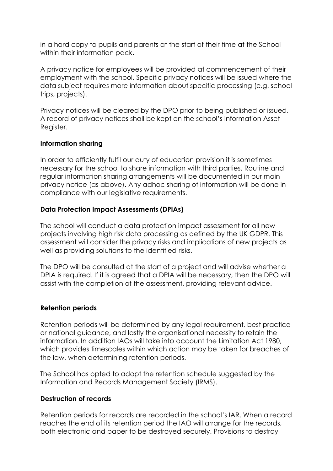in a hard copy to pupils and parents at the start of their time at the School within their information pack.

A privacy notice for employees will be provided at commencement of their employment with the school. Specific privacy notices will be issued where the data subject requires more information about specific processing (e.g. school trips, projects).

Privacy notices will be cleared by the DPO prior to being published or issued. A record of privacy notices shall be kept on the school's Information Asset Register.

#### **Information sharing**

In order to efficiently fulfil our duty of education provision it is sometimes necessary for the school to share information with third parties. Routine and regular information sharing arrangements will be documented in our main privacy notice (as above). Any adhoc sharing of information will be done in compliance with our legislative requirements.

## **Data Protection Impact Assessments (DPIAs)**

The school will conduct a data protection impact assessment for all new projects involving high risk data processing as defined by the UK GDPR. This assessment will consider the privacy risks and implications of new projects as well as providing solutions to the identified risks.

The DPO will be consulted at the start of a project and will advise whether a DPIA is required. If it is agreed that a DPIA will be necessary, then the DPO will assist with the completion of the assessment, providing relevant advice.

#### **Retention periods**

Retention periods will be determined by any legal requirement, best practice or national guidance, and lastly the organisational necessity to retain the information. In addition IAOs will take into account the Limitation Act 1980, which provides timescales within which action may be taken for breaches of the law, when determining retention periods.

The School has opted to adopt the retention schedule suggested by the Information and Records Management Society (IRMS).

#### **Destruction of records**

Retention periods for records are recorded in the school's IAR. When a record reaches the end of its retention period the IAO will arrange for the records, both electronic and paper to be destroyed securely. Provisions to destroy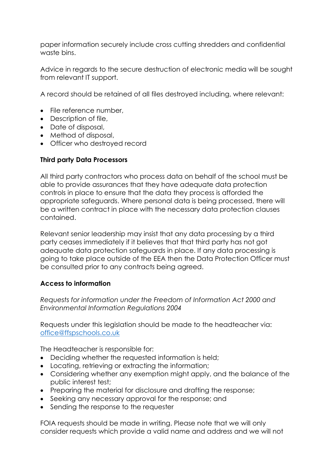paper information securely include cross cutting shredders and confidential waste bins.

Advice in regards to the secure destruction of electronic media will be sought from relevant IT support.

A record should be retained of all files destroyed including, where relevant:

- File reference number,
- Description of file,
- Date of disposal,
- Method of disposal,
- Officer who destroyed record

## **Third party Data Processors**

All third party contractors who process data on behalf of the school must be able to provide assurances that they have adequate data protection controls in place to ensure that the data they process is afforded the appropriate safeguards. Where personal data is being processed, there will be a written contract in place with the necessary data protection clauses contained.

Relevant senior leadership may insist that any data processing by a third party ceases immediately if it believes that that third party has not got adequate data protection safeguards in place. If any data processing is going to take place outside of the EEA then the Data Protection Officer must be consulted prior to any contracts being agreed.

# **Access to information**

*Requests for information under the Freedom of Information Act 2000 and Environmental Information Regulations 2004*

Requests under this legislation should be made to the headteacher via: [office@ffspschools.co.uk](mailto:office@ffspschools.co.uk)

The Headteacher is responsible for:

- Deciding whether the requested information is held;
- Locating, retrieving or extracting the information;
- Considering whether any exemption might apply, and the balance of the public interest test;
- Preparing the material for disclosure and drafting the response;
- Seeking any necessary approval for the response; and
- Sending the response to the requester

FOIA requests should be made in writing. Please note that we will only consider requests which provide a valid name and address and we will not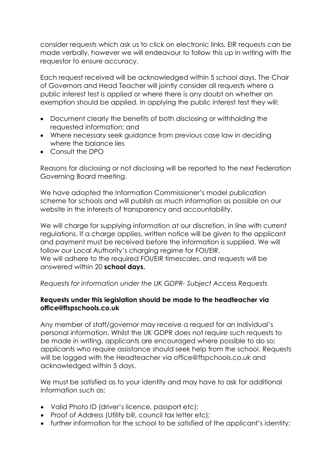consider requests which ask us to click on electronic links. EIR requests can be made verbally, however we will endeavour to follow this up in writing with the requestor to ensure accuracy.

Each request received will be acknowledged within 5 school days. The Chair of Governors and Head Teacher will jointly consider all requests where a public interest test is applied or where there is any doubt on whether an exemption should be applied. In applying the public interest test they will:

- Document clearly the benefits of both disclosing or withholding the requested information; and
- Where necessary seek guidance from previous case law in deciding where the balance lies
- Consult the DPO

Reasons for disclosing or not disclosing will be reported to the next Federation Governing Board meeting.

We have adopted the Information Commissioner's model publication scheme for schools and will publish as much information as possible on our website in the interests of transparency and accountability.

We will charge for supplying information at our discretion, in line with current regulations. If a charge applies, written notice will be given to the applicant and payment must be received before the information is supplied. We will follow our Local Authority's charging regime for FOI/EIR. We will adhere to the required FOI/EIR timescales, and requests will be answered within 20 **school days.**

#### *Requests for information under the UK GDPR- Subject Access Requests*

#### **Requests under this legislation should be made to the headteacher via office@ffspschools.co.uk**

Any member of staff/governor may receive a request for an individual's personal information. Whilst the UK GDPR does not require such requests to be made in writing, applicants are encouraged where possible to do so; applicants who require assistance should seek help from the school. Requests will be loaged with the Headteacher via office@ffspchools.co.uk and acknowledged within 5 days.

We must be satisfied as to your identity and may have to ask for additional information such as:

- Valid Photo ID (driver's licence, passport etc);
- Proof of Address (Utility bill, council tax letter etc);
- further information for the school to be satisfied of the applicant's identity;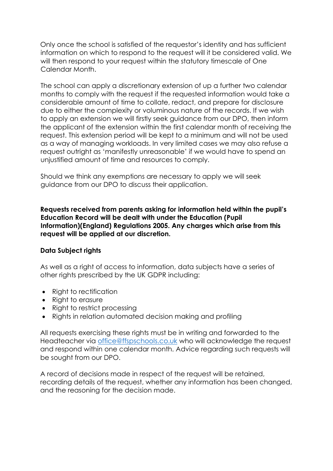Only once the school is satisfied of the requestor's identity and has sufficient information on which to respond to the request will it be considered valid. We will then respond to your request within the statutory timescale of One Calendar Month.

The school can apply a discretionary extension of up a further two calendar months to comply with the request if the requested information would take a considerable amount of time to collate, redact, and prepare for disclosure due to either the complexity or voluminous nature of the records. If we wish to apply an extension we will firstly seek guidance from our DPO, then inform the applicant of the extension within the first calendar month of receiving the request. This extension period will be kept to a minimum and will not be used as a way of managing workloads. In very limited cases we may also refuse a request outright as 'manifestly unreasonable' if we would have to spend an unjustified amount of time and resources to comply.

Should we think any exemptions are necessary to apply we will seek guidance from our DPO to discuss their application.

**Requests received from parents asking for information held within the pupil's Education Record will be dealt with under the Education (Pupil Information)(England) Regulations 2005. Any charges which arise from this request will be applied at our discretion.** 

# **Data Subject rights**

As well as a right of access to information, data subjects have a series of other rights prescribed by the UK GDPR including:

- Right to rectification
- Right to erasure
- Right to restrict processing
- Rights in relation automated decision making and profiling

All requests exercising these rights must be in writing and forwarded to the Headteacher via [office@ffspschools.co.uk](mailto:office@ffspschools.co.uk) who will acknowledge the request and respond within one calendar month. Advice regarding such requests will be sought from our DPO.

A record of decisions made in respect of the request will be retained, recording details of the request, whether any information has been changed, and the reasoning for the decision made.